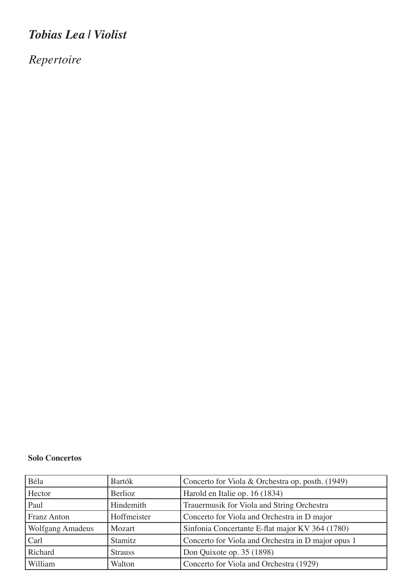## *Tobias Lea | Violist*

*Repertoire*

## **Solo Concertos**

| Béla                    | Bartók         | Concerto for Viola & Orchestra op. posth. (1949)   |
|-------------------------|----------------|----------------------------------------------------|
| Hector                  | Berlioz        | Harold en Italie op. 16 (1834)                     |
| Paul                    | Hindemith      | Trauermusik for Viola and String Orchestra         |
| <b>Franz Anton</b>      | Hoffmeister    | Concerto for Viola and Orchestra in D major        |
| <b>Wolfgang Amadeus</b> | Mozart         | Sinfonia Concertante E-flat major KV 364 (1780)    |
| Carl                    | Stamitz        | Concerto for Viola and Orchestra in D major opus 1 |
| Richard                 | <b>Strauss</b> | Don Quixote op. 35 (1898)                          |
| William                 | Walton         | Concerto for Viola and Orchestra (1929)            |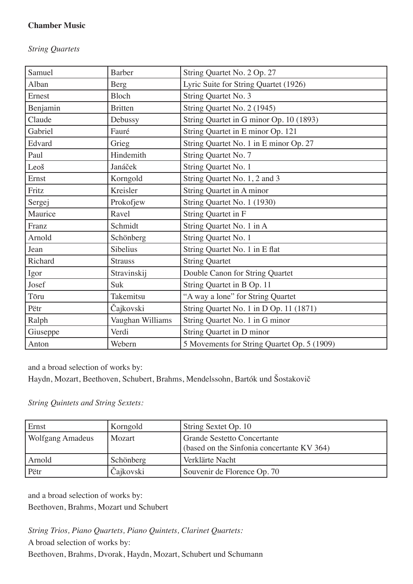## **Chamber Music**

*String Quartets*

| Samuel   | <b>Barber</b>    | String Quartet No. 2 Op. 27                 |
|----------|------------------|---------------------------------------------|
| Alban    | <b>Berg</b>      | Lyric Suite for String Quartet (1926)       |
| Ernest   | Bloch            | String Quartet No. 3                        |
| Benjamin | <b>Britten</b>   | String Quartet No. 2 (1945)                 |
| Claude   | Debussy          | String Quartet in G minor Op. 10 (1893)     |
| Gabriel  | Fauré            | String Quartet in E minor Op. 121           |
| Edvard   | Grieg            | String Quartet No. 1 in E minor Op. 27      |
| Paul     | Hindemith        | String Quartet No. 7                        |
| Leoš     | Janáček          | String Quartet No. 1                        |
| Ernst    | Korngold         | String Quartet No. 1, 2 and 3               |
| Fritz    | Kreisler         | String Quartet in A minor                   |
| Sergej   | Prokofjew        | String Quartet No. 1 (1930)                 |
| Maurice  | Ravel            | String Quartet in F                         |
| Franz    | Schmidt          | String Quartet No. 1 in A                   |
| Arnold   | Schönberg        | String Quartet No. 1                        |
| Jean     | Sibelius         | String Quartet No. 1 in E flat              |
| Richard  | <b>Strauss</b>   | <b>String Quartet</b>                       |
| Igor     | Stravinskij      | Double Canon for String Quartet             |
| Josef    | Suk              | String Quartet in B Op. 11                  |
| Tōru     | Takemitsu        | "A way a lone" for String Quartet           |
| Pëtr     | Čajkovski        | String Quartet No. 1 in D Op. 11 (1871)     |
| Ralph    | Vaughan Williams | String Quartet No. 1 in G minor             |
| Giuseppe | Verdi            | String Quartet in D minor                   |
| Anton    | Webern           | 5 Movements for String Quartet Op. 5 (1909) |

and a broad selection of works by:

Haydn, Mozart, Beethoven, Schubert, Brahms, Mendelssohn, Bartók und Šostakovič

*String Quintets and String Sextets:*

| Ernst                   | Korngold  | String Sextet Op. 10                                                             |
|-------------------------|-----------|----------------------------------------------------------------------------------|
| <b>Wolfgang Amadeus</b> | Mozart    | <b>Grande Sestetto Concertante</b><br>(based on the Sinfonia concertante KV 364) |
| Arnold                  | Schönberg | Verklärte Nacht                                                                  |
| Pëtr                    | Čajkovski | Souvenir de Florence Op. 70                                                      |

and a broad selection of works by: Beethoven, Brahms, Mozart und Schubert

*String Trios, Piano Quartets, Piano Quintets, Clarinet Quartets:* A broad selection of works by: Beethoven, Brahms, Dvorak, Haydn, Mozart, Schubert und Schumann